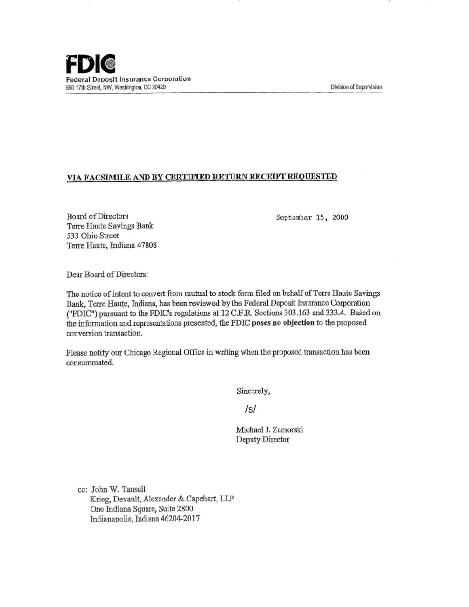## VIA FACSIMILE AND BY CERTIFlED RETURN RECEIPT REQUESTED

Board of Directors Terre Haute Savings Bank 533 Ohio Street Terre Haute, Indiana 47808

September 15 , 2000

Dear Board of Directors:

The notice of intent to convert from mutual to stock form filed on behalf of Terre Haute Savings Bank, Terre Haute, Indiana, has been reviewed by the Federal Deposit Insurance Corporation ("FDIC") pursuant to the FDIC's regulations at 12 C.F.R. Sections 303.163 and 333.4. Based on the information and representations presented, the FDIC poses no objection to the proposed conversion transaction.

Please notify our Chicago Regional Office in writing when the proposed transaction has been consummated.

Sincerely,

/s/

Michael J. Zamorski Deputy Director

cc: John W. Tansell Krieg, Devault, Alexander & Capehart, LLP One Indiana Square, Suite 2800 Indianapolis, Indiana 46204-2017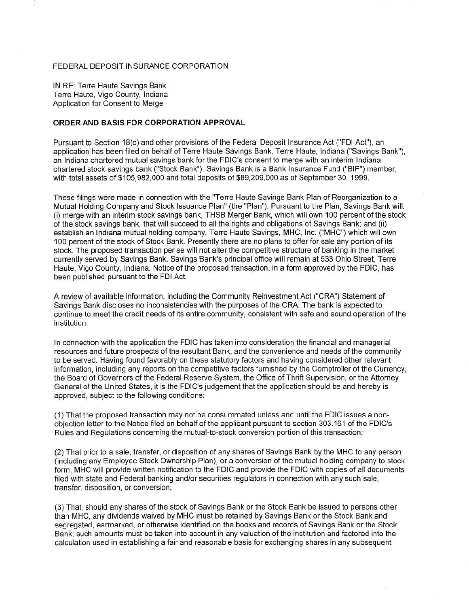## FEDERAL DEPOSIT INSURANCE CORPORATION

IN RE: Terre Haute Savings Bank Terre Haute, Vigo County, Indiana Application for Consent to Merge

## **ORDER AND BASIS FOR CORPORATION APPROVAL**

Pursuant to Section 18(c) and other provisions of the Federal Deposit Insurance Act ("FDI Act"), an application has been filed on behalf of Terre Haute Savings Bank, Terre Haute, Indiana ("Savings Bank"), an Indiana chartered mutual savings bank for the FDIC's consent to merge with an interim Indianachartered stock savings bank ("Stock Bank"). Savings Bank is a Bank Insurance Fund ("BIF") member, with total assets of \$105,982,000 and total deposits of \$89,209,000 as of September 30, 1999.

These filings were made in connection with the "Terre Haute Savings Bank Plan of Reorganization to a Mutual Holding Company and Stock Issuance Plan" (the "Plan"). Pursuant to the Plan, Savings Bank will: (i) merge with an interim stock savings bank, THSB Merger Bank, which will own 100 percent of the stock of the stock savings bank, that will succeed to all the rights and obligations of Savings Bank; and (ii) establish an Indiana mutual holding company, Terre Haute Savings, MHC, Inc. ("MHC") which will own 100 percent of the stock of Stock Bank. Presently there are no plans to offer for sale any portion of its stock. The proposed transaction per se will not alter the competitive structure of banking in the market currently served by Savings Bank. Savings Bank's principal office will remain at 533 Ohio Street, Terre Haute, Vigo County, Indiana. Notice of the proposed transaction, in a form approved by the FDIC, has been published pursuant to the FDI Act.

A review of available information, including the Community Reinvestment Act ("CRA") Statement of Savings Bank discloses no inconsistencies with the purposes of the CRA. The bank is expected to continue to meet the credit needs of its entire community, consistent with safe and sound operation of the institution.

In connection with the application the FDIC has taken into consideration the financial and managerial resources and future prospects of the resultant Bank, and the convenience and needs of the community to be served. Having found favorably on these statutory factors and having considered other relevant information, including any reports on the competitive factors furnished by the Comptroller of the Currency, . the Board of Governors of the Federal Reserve System, the Office of Thrift Supervision, or the Attorney General of the United States, it is the FDIC's judgement that the application should be and hereby is approved, subject to the following conditions:

(1) That the proposed transaction may not be consummated unless and until the FDIC issues a nonobjection letter to the Notice filed on behalf of the applicant pursuant to section 303.161 of the FDIC's Rules and Regulations concerning the mutual-to-stock conversion portion of this transaction;

(2) That prior to a sale, transfer, or disposition of any shares of Savings Bank by the MHC to any person (including any Employee Stock Ownership Plan), or a conversion of the mutual holding company to stock form, MHC will provide written notification to the FDIC and provide the FDIC with copies of all documents filed with state and Federal banking and/or securities regulators in connection with any such sale, transfer, disposition, or conversion;

(3) That, should any shares of the stock of Savings Bank or the Stock Bank be issued to persons other than MHC, any dividends waived by MHC must be retained by Savings Bank or the Stock Bank and segregated, earmarked, or otherwise identified on the books and records of Savings Bank or the Stock Bank; such amounts must be taken into account in any valuation of the institution and factored into the calculation used in establishing a fair and reasonable basis for exchanging shares in any subsequent